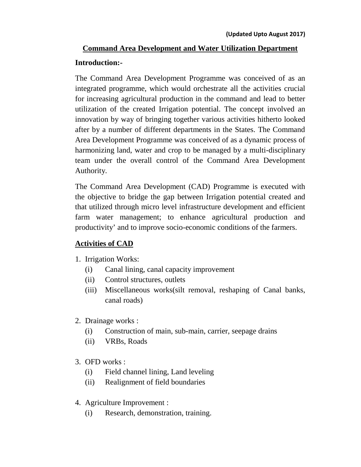# **Command Area Development and Water Utilization Department Introduction:-**

The Command Area Development Programme was conceived of as an integrated programme, which would orchestrate all the activities crucial for increasing agricultural production in the command and lead to better utilization of the created Irrigation potential. The concept involved an innovation by way of bringing together various activities hitherto looked after by a number of different departments in the States. The Command Area Development Programme was conceived of as a dynamic process of harmonizing land, water and crop to be managed by a multi-disciplinary team under the overall control of the Command Area Development Authority.

The Command Area Development (CAD) Programme is executed with the objective to bridge the gap between Irrigation potential created and that utilized through micro level infrastructure development and efficient farm water management; to enhance agricultural production and productivity' and to improve socio-economic conditions of the farmers.

## **Activities of CAD**

- 1. Irrigation Works:
	- (i) Canal lining, canal capacity improvement
	- (ii) Control structures, outlets
	- (iii) Miscellaneous works(silt removal, reshaping of Canal banks, canal roads)
- 2. Drainage works :
	- (i) Construction of main, sub-main, carrier, seepage drains
	- (ii) VRBs, Roads
- 3. OFD works :
	- (i) Field channel lining, Land leveling
	- (ii) Realignment of field boundaries
- 4. Agriculture Improvement :
	- (i) Research, demonstration, training.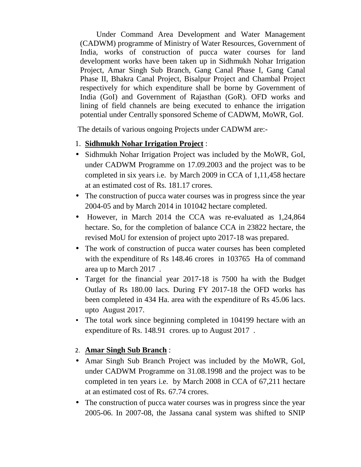Under Command Area Development and Water Management (CADWM) programme of Ministry of Water Resources, Government of India, works of construction of pucca water courses for land development works have been taken up in Sidhmukh Nohar Irrigation Project, Amar Singh Sub Branch, Gang Canal Phase I, Gang Canal Phase II, Bhakra Canal Project, Bisalpur Project and Chambal Project respectively for which expenditure shall be borne by Government of India (GoI) and Government of Rajasthan (GoR). OFD works and lining of field channels are being executed to enhance the irrigation potential under Centrally sponsored Scheme of CADWM, MoWR, GoI.

The details of various ongoing Projects under CADWM are:-

- 1. **Sidhmukh Nohar Irrigation Project** :
- Sidhmukh Nohar Irrigation Project was included by the MoWR, GoI, under CADWM Programme on 17.09.2003 and the project was to be completed in six years i.e. by March 2009 in CCA of 1,11,458 hectare at an estimated cost of Rs. 181.17 crores.
- The construction of pucca water courses was in progress since the year 2004-05 and by March 2014 in 101042 hectare completed.
- However, in March 2014 the CCA was re-evaluated as 1,24,864 hectare. So, for the completion of balance CCA in 23822 hectare, the revised MoU for extension of project upto 2017-18 was prepared.
- The work of construction of pucca water courses has been completed with the expenditure of Rs 148.46 crores in 103765 Ha of command area up to March 2017 .
- Target for the financial year 2017-18 is 7500 ha with the Budget Outlay of Rs 180.00 lacs. During FY 2017-18 the OFD works has been completed in 434 Ha. area with the expenditure of Rs 45.06 lacs. upto August 2017.
- The total work since beginning completed in 104199 hectare with an expenditure of Rs. 148.91 crores. up to August 2017 .

#### 2. **Amar Singh Sub Branch** :

- Amar Singh Sub Branch Project was included by the MoWR, GoI, under CADWM Programme on 31.08.1998 and the project was to be completed in ten years i.e. by March 2008 in CCA of 67,211 hectare at an estimated cost of Rs. 67.74 crores.
- The construction of pucca water courses was in progress since the year 2005-06. In 2007-08, the Jassana canal system was shifted to SNIP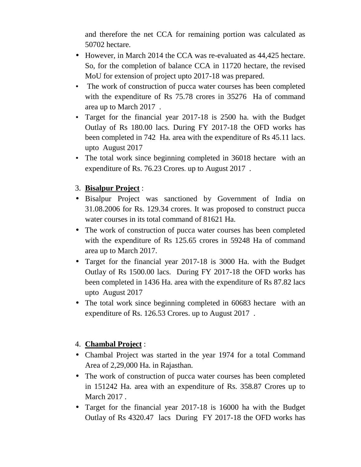and therefore the net CCA for remaining portion was calculated as 50702 hectare.

- However, in March 2014 the CCA was re-evaluated as 44,425 hectare. So, for the completion of balance CCA in 11720 hectare, the revised MoU for extension of project upto 2017-18 was prepared.
- The work of construction of pucca water courses has been completed with the expenditure of Rs 75.78 crores in 35276 Ha of command area up to March 2017 .
- Target for the financial year 2017-18 is 2500 ha. with the Budget Outlay of Rs 180.00 lacs. During FY 2017-18 the OFD works has been completed in 742 Ha. area with the expenditure of Rs 45.11 lacs. upto August 2017
- The total work since beginning completed in 36018 hectare with an expenditure of Rs. 76.23 Crores. up to August 2017 .

## 3. **Bisalpur Project** :

- Bisalpur Project was sanctioned by Government of India on 31.08.2006 for Rs. 129.34 crores. It was proposed to construct pucca water courses in its total command of 81621 Ha.
- The work of construction of pucca water courses has been completed with the expenditure of Rs 125.65 crores in 59248 Ha of command area up to March 2017.
- Target for the financial year 2017-18 is 3000 Ha. with the Budget Outlay of Rs 1500.00 lacs. During FY 2017-18 the OFD works has been completed in 1436 Ha. area with the expenditure of Rs 87.82 lacs upto August 2017
- The total work since beginning completed in 60683 hectare with an expenditure of Rs. 126.53 Crores. up to August 2017 .

## 4. **Chambal Project** :

- Chambal Project was started in the year 1974 for a total Command Area of 2,29,000 Ha. in Rajasthan.
- The work of construction of pucca water courses has been completed in 151242 Ha. area with an expenditure of Rs. 358.87 Crores up to March 2017 .
- Target for the financial year 2017-18 is 16000 ha with the Budget Outlay of Rs 4320.47 lacs During FY 2017-18 the OFD works has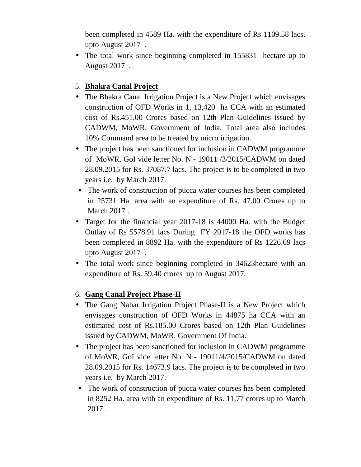been completed in 4589 Ha. with the expenditure of Rs 1109.58 lacs. upto August 2017 .

• The total work since beginning completed in 155831 hectare up to August 2017 .

### 5. **Bhakra Canal Project**

- The Bhakra Canal Irrigation Project is a New Project which envisages construction of OFD Works in 1, 13,420 ha CCA with an estimated cost of Rs.451.00 Crores based on 12th Plan Guidelines issued by CADWM, MoWR, Government of India. Total area also includes 10% Command area to be treated by micro irrigation.
- The project has been sanctioned for inclusion in CADWM programme of MoWR, GoI vide letter No. N - 19011 /3/2015/CADWM on dated 28.09.2015 for Rs. 37087.7 lacs. The project is to be completed in two years i.e. by March 2017.
- The work of construction of pucca water courses has been completed in 25731 Ha. area with an expenditure of Rs. 47.00 Crores up to March 2017 .
- Target for the financial year 2017-18 is 44000 Ha. with the Budget Outlay of Rs 5578.91 lacs During FY 2017-18 the OFD works has been completed in 8892 Ha. with the expenditure of Rs 1226.69 lacs upto August 2017 .
- The total work since beginning completed in 34623 hectare with an expenditure of Rs. 59.40 crores up to August 2017.

#### 6. **Gang Canal Project Phase-II**

- The Gang Nahar Irrigation Project Phase-II is a New Project which envisages construction of OFD Works in 44875 ha CCA with an estimated cost of Rs.185.00 Crores based on 12th Plan Guidelines issued by CADWM, MoWR, Government Of India.
- The project has been sanctioned for inclusion in CADWM programme of MoWR, GoI vide letter No. N - 19011/4/2015/CADWM on dated 28.09.2015 for Rs. 14673.9 lacs. The project is to be completed in two years i.e. by March 2017.
- The work of construction of pucca water courses has been completed in 8252 Ha. area with an expenditure of Rs. 11.77 crores up to March 2017 .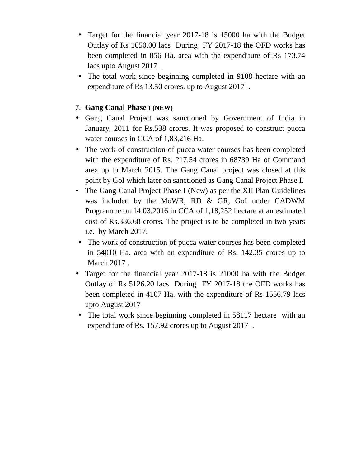- Target for the financial year 2017-18 is 15000 ha with the Budget Outlay of Rs 1650.00 lacs During FY 2017-18 the OFD works has been completed in 856 Ha. area with the expenditure of Rs 173.74 lacs upto August 2017 .
- The total work since beginning completed in 9108 hectare with an expenditure of Rs 13.50 crores. up to August 2017 .

#### 7. **Gang Canal Phase I (NEW)**

- Gang Canal Project was sanctioned by Government of India in January, 2011 for Rs.538 crores. It was proposed to construct pucca water courses in CCA of 1,83,216 Ha.
- The work of construction of pucca water courses has been completed with the expenditure of Rs. 217.54 crores in 68739 Ha of Command area up to March 2015. The Gang Canal project was closed at this point by GoI which later on sanctioned as Gang Canal Project Phase I.
- The Gang Canal Project Phase I (New) as per the XII Plan Guidelines was included by the MoWR, RD & GR, GoI under CADWM Programme on 14.03.2016 in CCA of 1,18,252 hectare at an estimated cost of Rs.386.68 crores. The project is to be completed in two years i.e. by March 2017.
- The work of construction of pucca water courses has been completed in 54010 Ha. area with an expenditure of Rs. 142.35 crores up to March 2017 .
- Target for the financial year 2017-18 is 21000 ha with the Budget Outlay of Rs 5126.20 lacs During FY 2017-18 the OFD works has been completed in 4107 Ha. with the expenditure of Rs 1556.79 lacs upto August 2017
- The total work since beginning completed in 58117 hectare with an expenditure of Rs. 157.92 crores up to August 2017 .